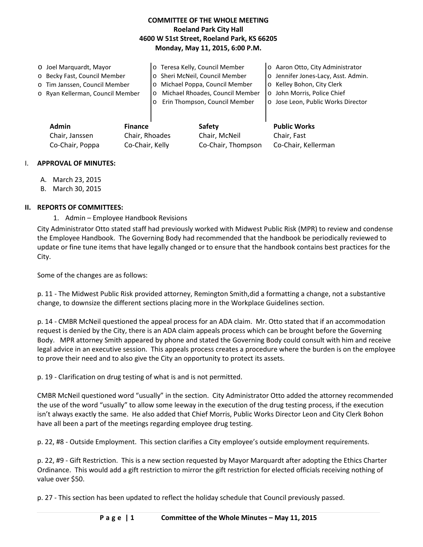### **COMMITTEE OF THE WHOLE MEETING Roeland Park City Hall 4600 W 51st Street, Roeland Park, KS 66205 Monday, May 11, 2015, 6:00 P.M.**

| O Joel Marguardt, Mayor<br>o Becky Fast, Council Member<br>o Tim Janssen, Council Member<br>o Ryan Kellerman, Council Member | $\circ$<br>$\circ$ | o Teresa Kelly, Council Member<br>o Sheri McNeil, Council Member<br>o Michael Poppa, Council Member<br>Michael Rhoades, Council Member<br>Erin Thompson, Council Member | o Aaron Otto, City Administrator<br>o Jennifer Jones-Lacy, Asst. Admin.<br>o Kelley Bohon, City Clerk<br>o John Morris, Police Chief<br>o Jose Leon, Public Works Director |
|------------------------------------------------------------------------------------------------------------------------------|--------------------|-------------------------------------------------------------------------------------------------------------------------------------------------------------------------|----------------------------------------------------------------------------------------------------------------------------------------------------------------------------|
| Admin<br><b>Finance</b>                                                                                                      |                    | Safety                                                                                                                                                                  | <b>Public Works</b>                                                                                                                                                        |

Chair, Janssen Chair, Rhoades Chair, McNeil Chair, Fast

Co-Chair, Poppa Co-Chair, Kelly Co-Chair, Thompson Co-Chair, Kellerman

#### I. **APPROVAL OF MINUTES:**

- A. March 23, 2015
- B. March 30, 2015

### **II. REPORTS OF COMMITTEES:**

1. Admin – Employee Handbook Revisions

City Administrator Otto stated staff had previously worked with Midwest Public Risk (MPR) to review and condense the Employee Handbook. The Governing Body had recommended that the handbook be periodically reviewed to update or fine tune items that have legally changed or to ensure that the handbook contains best practices for the City.

Some of the changes are as follows:

p. 11 - The Midwest Public Risk provided attorney, Remington Smith,did a formatting a change, not a substantive change, to downsize the different sections placing more in the Workplace Guidelines section.

p. 14 - CMBR McNeil questioned the appeal process for an ADA claim. Mr. Otto stated that if an accommodation request is denied by the City, there is an ADA claim appeals process which can be brought before the Governing Body. MPR attorney Smith appeared by phone and stated the Governing Body could consult with him and receive legal advice in an executive session. This appeals process creates a procedure where the burden is on the employee to prove their need and to also give the City an opportunity to protect its assets.

p. 19 - Clarification on drug testing of what is and is not permitted.

CMBR McNeil questioned word "usually" in the section. City Administrator Otto added the attorney recommended the use of the word "usually" to allow some leeway in the execution of the drug testing process, if the execution isn't always exactly the same. He also added that Chief Morris, Public Works Director Leon and City Clerk Bohon have all been a part of the meetings regarding employee drug testing.

p. 22, #8 - Outside Employment. This section clarifies a City employee's outside employment requirements.

p. 22, #9 - Gift Restriction. This is a new section requested by Mayor Marquardt after adopting the Ethics Charter Ordinance. This would add a gift restriction to mirror the gift restriction for elected officials receiving nothing of value over \$50.

p. 27 - This section has been updated to reflect the holiday schedule that Council previously passed.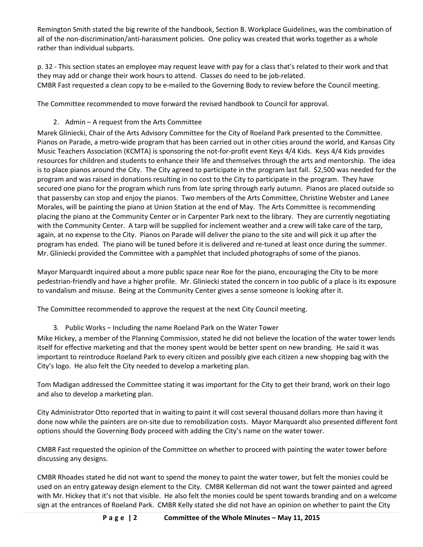Remington Smith stated the big rewrite of the handbook, Section B. Workplace Guidelines, was the combination of all of the non-discrimination/anti-harassment policies. One policy was created that works together as a whole rather than individual subparts.

p. 32 - This section states an employee may request leave with pay for a class that's related to their work and that they may add or change their work hours to attend. Classes do need to be job-related. CMBR Fast requested a clean copy to be e-mailed to the Governing Body to review before the Council meeting.

The Committee recommended to move forward the revised handbook to Council for approval.

# 2. Admin – A request from the Arts Committee

Marek Gliniecki, Chair of the Arts Advisory Committee for the City of Roeland Park presented to the Committee. Pianos on Parade, a metro-wide program that has been carried out in other cities around the world, and Kansas City Music Teachers Association (KCMTA) is sponsoring the not-for-profit event Keys 4/4 Kids. Keys 4/4 Kids provides resources for children and students to enhance their life and themselves through the arts and mentorship. The idea is to place pianos around the City. The City agreed to participate in the program last fall. \$2,500 was needed for the program and was raised in donations resulting in no cost to the City to participate in the program. They have secured one piano for the program which runs from late spring through early autumn. Pianos are placed outside so that passersby can stop and enjoy the pianos. Two members of the Arts Committee, Christine Webster and Lanee Morales, will be painting the piano at Union Station at the end of May. The Arts Committee is recommending placing the piano at the Community Center or in Carpenter Park next to the library. They are currently negotiating with the Community Center. A tarp will be supplied for inclement weather and a crew will take care of the tarp, again, at no expense to the City. Pianos on Parade will deliver the piano to the site and will pick it up after the program has ended. The piano will be tuned before it is delivered and re-tuned at least once during the summer. Mr. Gliniecki provided the Committee with a pamphlet that included photographs of some of the pianos.

Mayor Marquardt inquired about a more public space near Roe for the piano, encouraging the City to be more pedestrian-friendly and have a higher profile. Mr. Gliniecki stated the concern in too public of a place is its exposure to vandalism and misuse. Being at the Community Center gives a sense someone is looking after it.

The Committee recommended to approve the request at the next City Council meeting.

3. Public Works – Including the name Roeland Park on the Water Tower

Mike Hickey, a member of the Planning Commission, stated he did not believe the location of the water tower lends itself for effective marketing and that the money spent would be better spent on new branding. He said it was important to reintroduce Roeland Park to every citizen and possibly give each citizen a new shopping bag with the City's logo. He also felt the City needed to develop a marketing plan.

Tom Madigan addressed the Committee stating it was important for the City to get their brand, work on their logo and also to develop a marketing plan.

City Administrator Otto reported that in waiting to paint it will cost several thousand dollars more than having it done now while the painters are on-site due to remobilization costs. Mayor Marquardt also presented different font options should the Governing Body proceed with adding the City's name on the water tower.

CMBR Fast requested the opinion of the Committee on whether to proceed with painting the water tower before discussing any designs.

CMBR Rhoades stated he did not want to spend the money to paint the water tower, but felt the monies could be used on an entry gateway design element to the City. CMBR Kellerman did not want the tower painted and agreed with Mr. Hickey that it's not that visible. He also felt the monies could be spent towards branding and on a welcome sign at the entrances of Roeland Park. CMBR Kelly stated she did not have an opinion on whether to paint the City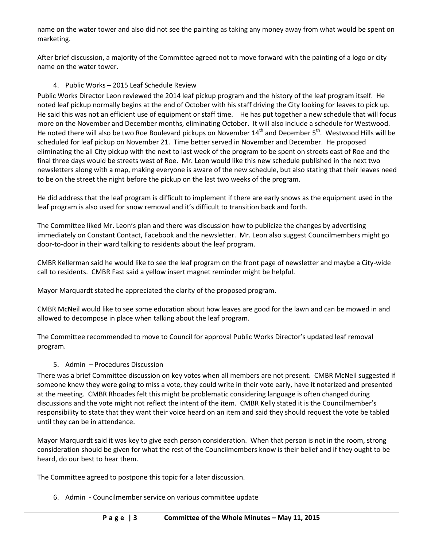name on the water tower and also did not see the painting as taking any money away from what would be spent on marketing.

After brief discussion, a majority of the Committee agreed not to move forward with the painting of a logo or city name on the water tower.

## 4. Public Works – 2015 Leaf Schedule Review

Public Works Director Leon reviewed the 2014 leaf pickup program and the history of the leaf program itself. He noted leaf pickup normally begins at the end of October with his staff driving the City looking for leaves to pick up. He said this was not an efficient use of equipment or staff time. He has put together a new schedule that will focus more on the November and December months, eliminating October. It will also include a schedule for Westwood. He noted there will also be two Roe Boulevard pickups on November 14<sup>th</sup> and December 5<sup>th</sup>. Westwood Hills will be scheduled for leaf pickup on November 21. Time better served in November and December. He proposed eliminating the all City pickup with the next to last week of the program to be spent on streets east of Roe and the final three days would be streets west of Roe. Mr. Leon would like this new schedule published in the next two newsletters along with a map, making everyone is aware of the new schedule, but also stating that their leaves need to be on the street the night before the pickup on the last two weeks of the program.

He did address that the leaf program is difficult to implement if there are early snows as the equipment used in the leaf program is also used for snow removal and it's difficult to transition back and forth.

The Committee liked Mr. Leon's plan and there was discussion how to publicize the changes by advertising immediately on Constant Contact, Facebook and the newsletter. Mr. Leon also suggest Councilmembers might go door-to-door in their ward talking to residents about the leaf program.

CMBR Kellerman said he would like to see the leaf program on the front page of newsletter and maybe a City-wide call to residents. CMBR Fast said a yellow insert magnet reminder might be helpful.

Mayor Marquardt stated he appreciated the clarity of the proposed program.

CMBR McNeil would like to see some education about how leaves are good for the lawn and can be mowed in and allowed to decompose in place when talking about the leaf program.

The Committee recommended to move to Council for approval Public Works Director's updated leaf removal program.

### 5. Admin – Procedures Discussion

There was a brief Committee discussion on key votes when all members are not present. CMBR McNeil suggested if someone knew they were going to miss a vote, they could write in their vote early, have it notarized and presented at the meeting. CMBR Rhoades felt this might be problematic considering language is often changed during discussions and the vote might not reflect the intent of the item. CMBR Kelly stated it is the Councilmember's responsibility to state that they want their voice heard on an item and said they should request the vote be tabled until they can be in attendance.

Mayor Marquardt said it was key to give each person consideration. When that person is not in the room, strong consideration should be given for what the rest of the Councilmembers know is their belief and if they ought to be heard, do our best to hear them.

The Committee agreed to postpone this topic for a later discussion.

6. Admin - Councilmember service on various committee update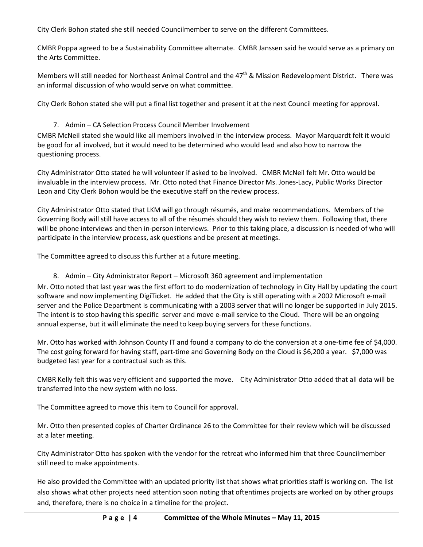City Clerk Bohon stated she still needed Councilmember to serve on the different Committees.

CMBR Poppa agreed to be a Sustainability Committee alternate. CMBR Janssen said he would serve as a primary on the Arts Committee.

Members will still needed for Northeast Animal Control and the  $47<sup>th</sup>$  & Mission Redevelopment District. There was an informal discussion of who would serve on what committee.

City Clerk Bohon stated she will put a final list together and present it at the next Council meeting for approval.

## 7. Admin – CA Selection Process Council Member Involvement

CMBR McNeil stated she would like all members involved in the interview process. Mayor Marquardt felt it would be good for all involved, but it would need to be determined who would lead and also how to narrow the questioning process.

City Administrator Otto stated he will volunteer if asked to be involved. CMBR McNeil felt Mr. Otto would be invaluable in the interview process. Mr. Otto noted that Finance Director Ms. Jones-Lacy, Public Works Director Leon and City Clerk Bohon would be the executive staff on the review process.

City Administrator Otto stated that LKM will go through résumés, and make recommendations. Members of the Governing Body will still have access to all of the résumés should they wish to review them. Following that, there will be phone interviews and then in-person interviews. Prior to this taking place, a discussion is needed of who will participate in the interview process, ask questions and be present at meetings.

The Committee agreed to discuss this further at a future meeting.

8. Admin – City Administrator Report – Microsoft 360 agreement and implementation Mr. Otto noted that last year was the first effort to do modernization of technology in City Hall by updating the court software and now implementing DigiTicket. He added that the City is still operating with a 2002 Microsoft e-mail server and the Police Department is communicating with a 2003 server that will no longer be supported in July 2015. The intent is to stop having this specific server and move e-mail service to the Cloud. There will be an ongoing annual expense, but it will eliminate the need to keep buying servers for these functions.

Mr. Otto has worked with Johnson County IT and found a company to do the conversion at a one-time fee of \$4,000. The cost going forward for having staff, part-time and Governing Body on the Cloud is \$6,200 a year. \$7,000 was budgeted last year for a contractual such as this.

CMBR Kelly felt this was very efficient and supported the move. City Administrator Otto added that all data will be transferred into the new system with no loss.

The Committee agreed to move this item to Council for approval.

Mr. Otto then presented copies of Charter Ordinance 26 to the Committee for their review which will be discussed at a later meeting.

City Administrator Otto has spoken with the vendor for the retreat who informed him that three Councilmember still need to make appointments.

He also provided the Committee with an updated priority list that shows what priorities staff is working on. The list also shows what other projects need attention soon noting that oftentimes projects are worked on by other groups and, therefore, there is no choice in a timeline for the project.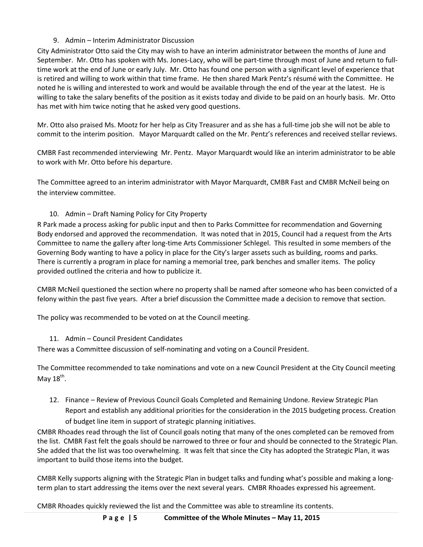## 9. Admin – Interim Administrator Discussion

City Administrator Otto said the City may wish to have an interim administrator between the months of June and September. Mr. Otto has spoken with Ms. Jones-Lacy, who will be part-time through most of June and return to fulltime work at the end of June or early July. Mr. Otto has found one person with a significant level of experience that is retired and willing to work within that time frame. He then shared Mark Pentz's résumé with the Committee. He noted he is willing and interested to work and would be available through the end of the year at the latest. He is willing to take the salary benefits of the position as it exists today and divide to be paid on an hourly basis. Mr. Otto has met with him twice noting that he asked very good questions.

Mr. Otto also praised Ms. Mootz for her help as City Treasurer and as she has a full-time job she will not be able to commit to the interim position. Mayor Marquardt called on the Mr. Pentz's references and received stellar reviews.

CMBR Fast recommended interviewing Mr. Pentz. Mayor Marquardt would like an interim administrator to be able to work with Mr. Otto before his departure.

The Committee agreed to an interim administrator with Mayor Marquardt, CMBR Fast and CMBR McNeil being on the interview committee.

## 10. Admin – Draft Naming Policy for City Property

R Park made a process asking for public input and then to Parks Committee for recommendation and Governing Body endorsed and approved the recommendation. It was noted that in 2015, Council had a request from the Arts Committee to name the gallery after long-time Arts Commissioner Schlegel. This resulted in some members of the Governing Body wanting to have a policy in place for the City's larger assets such as building, rooms and parks. There is currently a program in place for naming a memorial tree, park benches and smaller items. The policy provided outlined the criteria and how to publicize it.

CMBR McNeil questioned the section where no property shall be named after someone who has been convicted of a felony within the past five years. After a brief discussion the Committee made a decision to remove that section.

The policy was recommended to be voted on at the Council meeting.

### 11. Admin – Council President Candidates

There was a Committee discussion of self-nominating and voting on a Council President.

The Committee recommended to take nominations and vote on a new Council President at the City Council meeting May  $18^{th}$ .

12. Finance – Review of Previous Council Goals Completed and Remaining Undone. Review Strategic Plan Report and establish any additional priorities for the consideration in the 2015 budgeting process. Creation of budget line item in support of strategic planning initiatives.

CMBR Rhoades read through the list of Council goals noting that many of the ones completed can be removed from the list. CMBR Fast felt the goals should be narrowed to three or four and should be connected to the Strategic Plan. She added that the list was too overwhelming. It was felt that since the City has adopted the Strategic Plan, it was important to build those items into the budget.

CMBR Kelly supports aligning with the Strategic Plan in budget talks and funding what's possible and making a longterm plan to start addressing the items over the next several years. CMBR Rhoades expressed his agreement.

CMBR Rhoades quickly reviewed the list and the Committee was able to streamline its contents.